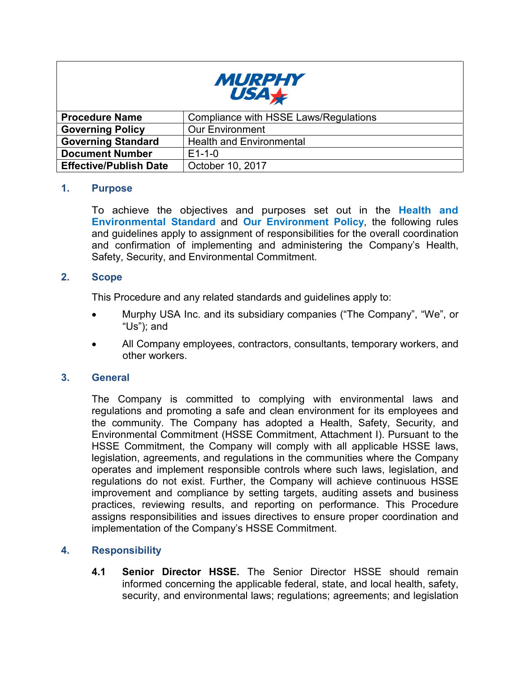

| <b>Procedure Name</b>         | Compliance with HSSE Laws/Regulations |
|-------------------------------|---------------------------------------|
| <b>Governing Policy</b>       | <b>Our Environment</b>                |
| <b>Governing Standard</b>     | <b>Health and Environmental</b>       |
| <b>Document Number</b>        | $E1 - 1 - 0$                          |
| <b>Effective/Publish Date</b> | October 10, 2017                      |

## **1. Purpose**

 To achieve the objectives and purposes set out in the **Health and Environmental Standard** and **Our Environment Policy**, the following rules and guidelines apply to assignment of responsibilities for the overall coordination and confirmation of implementing and administering the Company's Health, Safety, Security, and Environmental Commitment.

## $2.$ **2. Scope**

This Procedure and any related standards and guidelines apply to:

- • Murphy USA Inc. and its subsidiary companies ("The Company", "We", or "Us"); and
- other workers. • All Company employees, contractors, consultants, temporary workers, and

## **3. General**

 The Company is committed to complying with environmental laws and regulations and promoting a safe and clean environment for its employees and the community. The Company has adopted a Health, Safety, Security, and Environmental Commitment (HSSE Commitment, Attachment I). Pursuant to the HSSE Commitment, the Company will comply with all applicable HSSE laws, legislation, agreements, and regulations in the communities where the Company operates and implement responsible controls where such laws, legislation, and regulations do not exist. Further, the Company will achieve continuous HSSE improvement and compliance by setting targets, auditing assets and business practices, reviewing results, and reporting on performance. This Procedure assigns responsibilities and issues directives to ensure proper coordination and implementation of the Company's HSSE Commitment.

## **4. Responsibility**

 **4.1 Senior Director HSSE.** The Senior Director HSSE should remain informed concerning the applicable federal, state, and local health, safety, security, and environmental laws; regulations; agreements; and legislation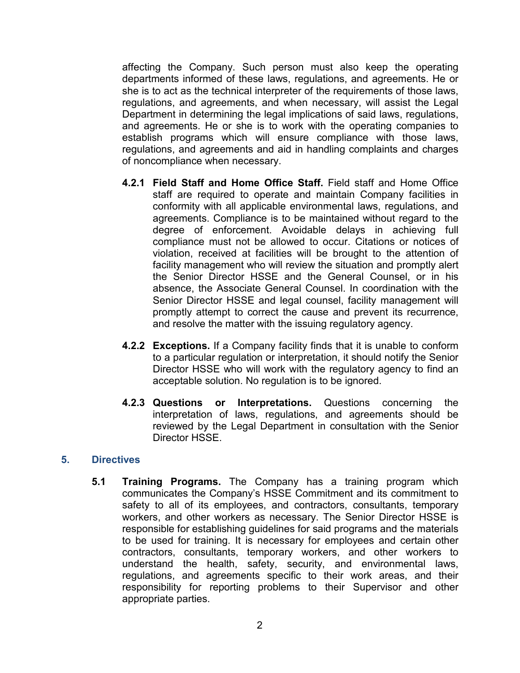affecting the Company. Such person must also keep the operating departments informed of these laws, regulations, and agreements. He or she is to act as the technical interpreter of the requirements of those laws, regulations, and agreements, and when necessary, will assist the Legal Department in determining the legal implications of said laws, regulations, and agreements. He or she is to work with the operating companies to establish programs which will ensure compliance with those laws, regulations, and agreements and aid in handling complaints and charges of noncompliance when necessary.

- **4.2.1 Field Staff and Home Office Staff.** Field staff and Home Office staff are required to operate and maintain Company facilities in conformity with all applicable environmental laws, regulations, and agreements. Compliance is to be maintained without regard to the degree of enforcement. Avoidable delays in achieving full compliance must not be allowed to occur. Citations or notices of violation, received at facilities will be brought to the attention of facility management who will review the situation and promptly alert the Senior Director HSSE and the General Counsel, or in his absence, the Associate General Counsel. In coordination with the Senior Director HSSE and legal counsel, facility management will promptly attempt to correct the cause and prevent its recurrence, and resolve the matter with the issuing regulatory agency.
- **4.2.2 Exceptions.** If a Company facility finds that it is unable to conform to a particular regulation or interpretation, it should notify the Senior Director HSSE who will work with the regulatory agency to find an acceptable solution. No regulation is to be ignored.
- **4.2.3 Questions or Interpretations.** Questions concerning the interpretation of laws, regulations, and agreements should be reviewed by the Legal Department in consultation with the Senior Director HSSE.

## **5. Directives**

 **5.1 Training Programs.** The Company has a training program which communicates the Company's HSSE Commitment and its commitment to safety to all of its employees, and contractors, consultants, temporary workers, and other workers as necessary. The Senior Director HSSE is responsible for establishing guidelines for said programs and the materials to be used for training. It is necessary for employees and certain other contractors, consultants, temporary workers, and other workers to understand the health, safety, security, and environmental laws, regulations, and agreements specific to their work areas, and their responsibility for reporting problems to their Supervisor and other appropriate parties.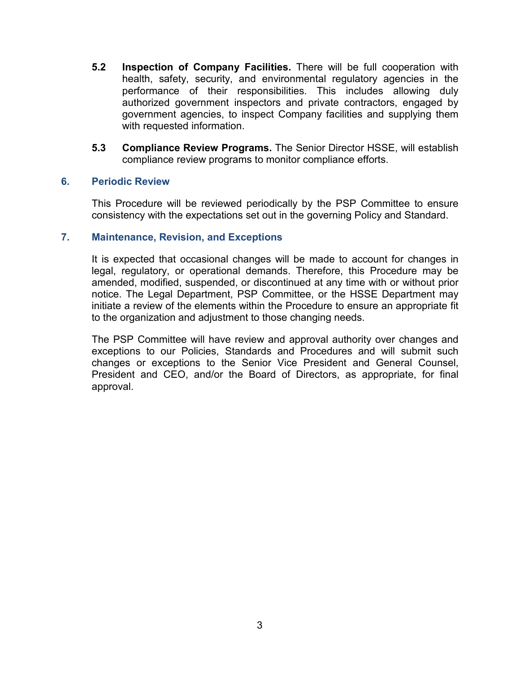- **5.2 Inspection of Company Facilities.** There will be full cooperation with health, safety, security, and environmental regulatory agencies in the performance of their responsibilities. This includes allowing duly authorized government inspectors and private contractors, engaged by government agencies, to inspect Company facilities and supplying them with requested information.
- **5.3 Compliance Review Programs.** The Senior Director HSSE, will establish compliance review programs to monitor compliance efforts.

## **6. Periodic Review**

 This Procedure will be reviewed periodically by the PSP Committee to ensure consistency with the expectations set out in the governing Policy and Standard.

## **7. Maintenance, Revision, and Exceptions**

 It is expected that occasional changes will be made to account for changes in legal, regulatory, or operational demands. Therefore, this Procedure may be amended, modified, suspended, or discontinued at any time with or without prior notice. The Legal Department, PSP Committee, or the HSSE Department may initiate a review of the elements within the Procedure to ensure an appropriate fit to the organization and adjustment to those changing needs.

 The PSP Committee will have review and approval authority over changes and exceptions to our Policies, Standards and Procedures and will submit such changes or exceptions to the Senior Vice President and General Counsel, President and CEO, and/or the Board of Directors, as appropriate, for final approval.